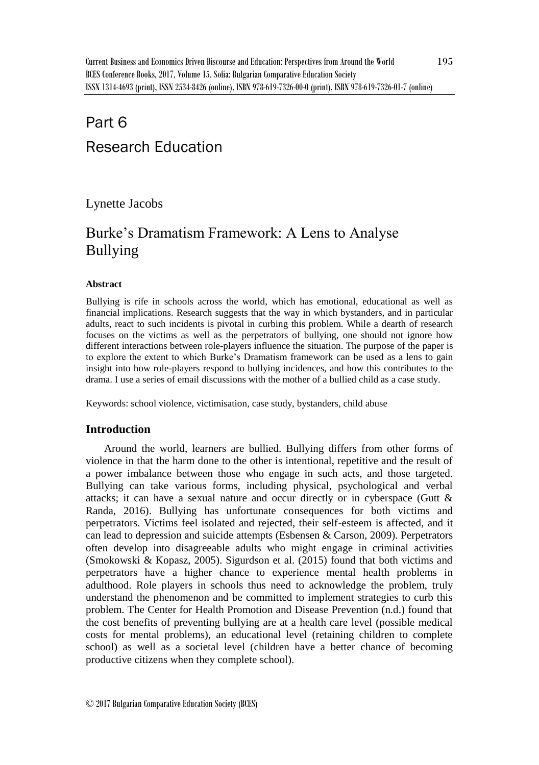# Part 6 Research Education

Lynette Jacobs

## Burke's Dramatism Framework: A Lens to Analyse Bullying

### **Abstract**

Bullying is rife in schools across the world, which has emotional, educational as well as financial implications. Research suggests that the way in which bystanders, and in particular adults, react to such incidents is pivotal in curbing this problem. While a dearth of research focuses on the victims as well as the perpetrators of bullying, one should not ignore how different interactions between role-players influence the situation. The purpose of the paper is to explore the extent to which Burke's Dramatism framework can be used as a lens to gain insight into how role-players respond to bullying incidences, and how this contributes to the drama. I use a series of email discussions with the mother of a bullied child as a case study.

Keywords: school violence, victimisation, case study, bystanders, child abuse

## **Introduction**

Around the world, learners are bullied. Bullying differs from other forms of violence in that the harm done to the other is intentional, repetitive and the result of a power imbalance between those who engage in such acts, and those targeted. Bullying can take various forms, including physical, psychological and verbal attacks; it can have a sexual nature and occur directly or in cyberspace (Gutt & Randa, 2016). Bullying has unfortunate consequences for both victims and perpetrators. Victims feel isolated and rejected, their self-esteem is affected, and it can lead to depression and suicide attempts (Esbensen & Carson, 2009). Perpetrators often develop into disagreeable adults who might engage in criminal activities (Smokowski & Kopasz, 2005). Sigurdson et al. (2015) found that both victims and perpetrators have a higher chance to experience mental health problems in adulthood. Role players in schools thus need to acknowledge the problem, truly understand the phenomenon and be committed to implement strategies to curb this problem. The Center for Health Promotion and Disease Prevention (n.d.) found that the cost benefits of preventing bullying are at a health care level (possible medical costs for mental problems), an educational level (retaining children to complete school) as well as a societal level (children have a better chance of becoming productive citizens when they complete school).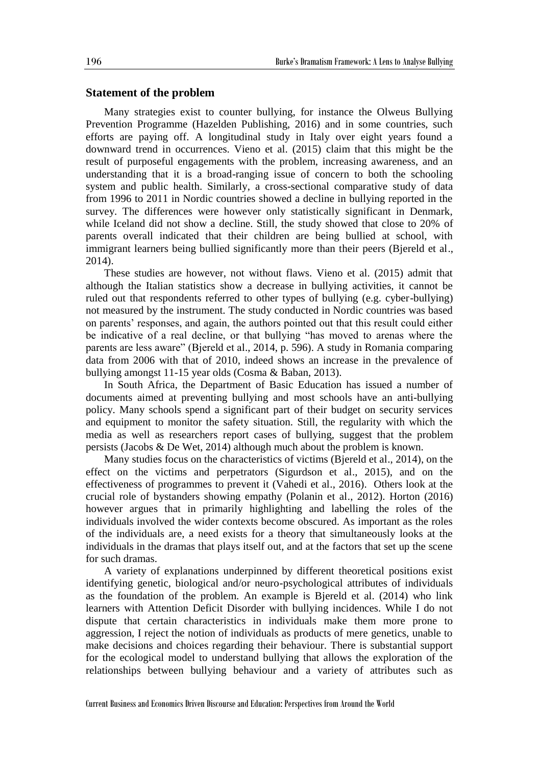#### **Statement of the problem**

Many strategies exist to counter bullying, for instance the Olweus Bullying Prevention Programme (Hazelden Publishing, 2016) and in some countries, such efforts are paying off. A longitudinal study in Italy over eight years found a downward trend in occurrences. Vieno et al. (2015) claim that this might be the result of purposeful engagements with the problem, increasing awareness, and an understanding that it is a broad-ranging issue of concern to both the schooling system and public health. Similarly, a cross-sectional comparative study of data from 1996 to 2011 in Nordic countries showed a decline in bullying reported in the survey. The differences were however only statistically significant in Denmark, while Iceland did not show a decline. Still, the study showed that close to 20% of parents overall indicated that their children are being bullied at school, with immigrant learners being bullied significantly more than their peers (Bjereld et al., 2014).

These studies are however, not without flaws. Vieno et al. (2015) admit that although the Italian statistics show a decrease in bullying activities, it cannot be ruled out that respondents referred to other types of bullying (e.g. cyber-bullying) not measured by the instrument. The study conducted in Nordic countries was based on parents' responses, and again, the authors pointed out that this result could either be indicative of a real decline, or that bullying "has moved to arenas where the parents are less aware" (Bjereld et al., 2014, p. 596). A study in Romania comparing data from 2006 with that of 2010, indeed shows an increase in the prevalence of bullying amongst 11-15 year olds (Cosma & Baban, 2013).

In South Africa, the Department of Basic Education has issued a number of documents aimed at preventing bullying and most schools have an anti-bullying policy. Many schools spend a significant part of their budget on security services and equipment to monitor the safety situation. Still, the regularity with which the media as well as researchers report cases of bullying, suggest that the problem persists (Jacobs & De Wet, 2014) although much about the problem is known.

Many studies focus on the characteristics of victims (Bjereld et al., 2014), on the effect on the victims and perpetrators (Sigurdson et al., 2015), and on the effectiveness of programmes to prevent it (Vahedi et al., 2016). Others look at the crucial role of bystanders showing empathy (Polanin et al., 2012). Horton (2016) however argues that in primarily highlighting and labelling the roles of the individuals involved the wider contexts become obscured. As important as the roles of the individuals are, a need exists for a theory that simultaneously looks at the individuals in the dramas that plays itself out, and at the factors that set up the scene for such dramas.

A variety of explanations underpinned by different theoretical positions exist identifying genetic, biological and/or neuro-psychological attributes of individuals as the foundation of the problem. An example is Bjereld et al. (2014) who link learners with Attention Deficit Disorder with bullying incidences. While I do not dispute that certain characteristics in individuals make them more prone to aggression, I reject the notion of individuals as products of mere genetics, unable to make decisions and choices regarding their behaviour. There is substantial support for the ecological model to understand bullying that allows the exploration of the relationships between bullying behaviour and a variety of attributes such as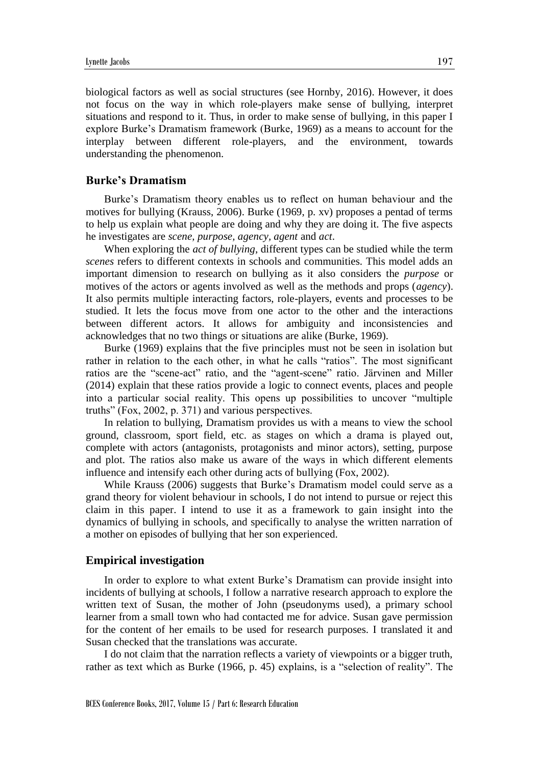biological factors as well as social structures (see Hornby, 2016). However, it does not focus on the way in which role-players make sense of bullying, interpret situations and respond to it. Thus, in order to make sense of bullying, in this paper I explore Burke's Dramatism framework (Burke, 1969) as a means to account for the interplay between different role-players, and the environment, towards understanding the phenomenon.

#### **Burke's Dramatism**

Burke's Dramatism theory enables us to reflect on human behaviour and the motives for bullying (Krauss, 2006). Burke (1969, p. xv) proposes a pentad of terms to help us explain what people are doing and why they are doing it. The five aspects he investigates are *scene, purpose, agency, agent* and *act*.

When exploring the *act of bullying*, different types can be studied while the term *scenes* refers to different contexts in schools and communities. This model adds an important dimension to research on bullying as it also considers the *purpose* or motives of the actors or agents involved as well as the methods and props (*agency*). It also permits multiple interacting factors, role-players, events and processes to be studied. It lets the focus move from one actor to the other and the interactions between different actors. It allows for ambiguity and inconsistencies and acknowledges that no two things or situations are alike (Burke, 1969).

Burke (1969) explains that the five principles must not be seen in isolation but rather in relation to the each other, in what he calls "ratios". The most significant ratios are the "scene-act" ratio, and the "agent-scene" ratio. Järvinen and Miller (2014) explain that these ratios provide a logic to connect events, places and people into a particular social reality. This opens up possibilities to uncover "multiple truths" (Fox, 2002, p. 371) and various perspectives.

In relation to bullying, Dramatism provides us with a means to view the school ground, classroom, sport field, etc. as stages on which a drama is played out, complete with actors (antagonists, protagonists and minor actors), setting, purpose and plot. The ratios also make us aware of the ways in which different elements influence and intensify each other during acts of bullying (Fox, 2002).

While Krauss (2006) suggests that Burke's Dramatism model could serve as a grand theory for violent behaviour in schools, I do not intend to pursue or reject this claim in this paper. I intend to use it as a framework to gain insight into the dynamics of bullying in schools, and specifically to analyse the written narration of a mother on episodes of bullying that her son experienced.

#### **Empirical investigation**

In order to explore to what extent Burke's Dramatism can provide insight into incidents of bullying at schools, I follow a narrative research approach to explore the written text of Susan, the mother of John (pseudonyms used), a primary school learner from a small town who had contacted me for advice. Susan gave permission for the content of her emails to be used for research purposes. I translated it and Susan checked that the translations was accurate.

I do not claim that the narration reflects a variety of viewpoints or a bigger truth, rather as text which as Burke (1966, p. 45) explains, is a "selection of reality". The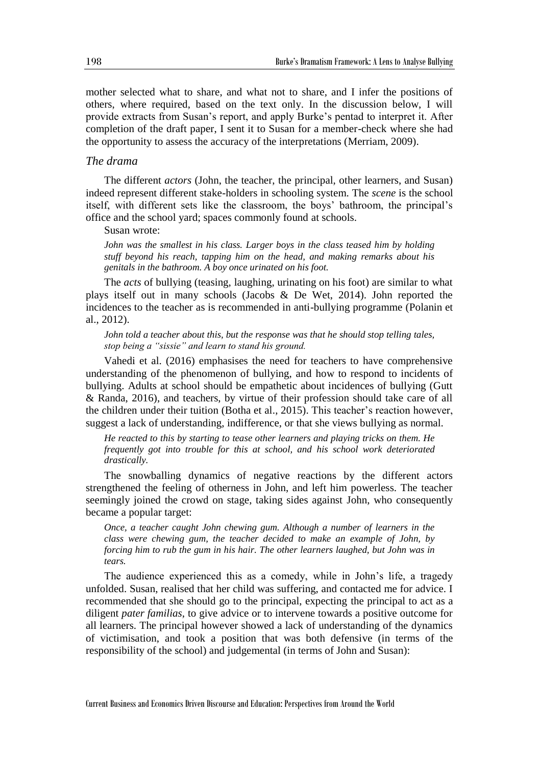mother selected what to share, and what not to share, and I infer the positions of others, where required, based on the text only. In the discussion below, I will provide extracts from Susan's report, and apply Burke's pentad to interpret it. After completion of the draft paper, I sent it to Susan for a member-check where she had the opportunity to assess the accuracy of the interpretations (Merriam, 2009).

## *The drama*

The different *actors* (John, the teacher, the principal, other learners, and Susan) indeed represent different stake-holders in schooling system. The *scene* is the school itself, with different sets like the classroom, the boys' bathroom, the principal's office and the school yard; spaces commonly found at schools.

Susan wrote:

*John was the smallest in his class. Larger boys in the class teased him by holding stuff beyond his reach, tapping him on the head, and making remarks about his genitals in the bathroom. A boy once urinated on his foot.* 

The *acts* of bullying (teasing, laughing, urinating on his foot) are similar to what plays itself out in many schools (Jacobs & De Wet, 2014). John reported the incidences to the teacher as is recommended in anti-bullying programme (Polanin et al., 2012).

*John told a teacher about this, but the response was that he should stop telling tales, stop being a "sissie" and learn to stand his ground.* 

Vahedi et al. (2016) emphasises the need for teachers to have comprehensive understanding of the phenomenon of bullying, and how to respond to incidents of bullying. Adults at school should be empathetic about incidences of bullying (Gutt & Randa, 2016), and teachers, by virtue of their profession should take care of all the children under their tuition (Botha et al., 2015). This teacher's reaction however, suggest a lack of understanding, indifference, or that she views bullying as normal.

*He reacted to this by starting to tease other learners and playing tricks on them. He frequently got into trouble for this at school, and his school work deteriorated drastically.* 

The snowballing dynamics of negative reactions by the different actors strengthened the feeling of otherness in John, and left him powerless. The teacher seemingly joined the crowd on stage, taking sides against John, who consequently became a popular target:

*Once, a teacher caught John chewing gum. Although a number of learners in the class were chewing gum, the teacher decided to make an example of John, by forcing him to rub the gum in his hair. The other learners laughed, but John was in tears.*

The audience experienced this as a comedy, while in John's life, a tragedy unfolded. Susan, realised that her child was suffering, and contacted me for advice. I recommended that she should go to the principal, expecting the principal to act as a diligent *pater familias*, to give advice or to intervene towards a positive outcome for all learners. The principal however showed a lack of understanding of the dynamics of victimisation, and took a position that was both defensive (in terms of the responsibility of the school) and judgemental (in terms of John and Susan):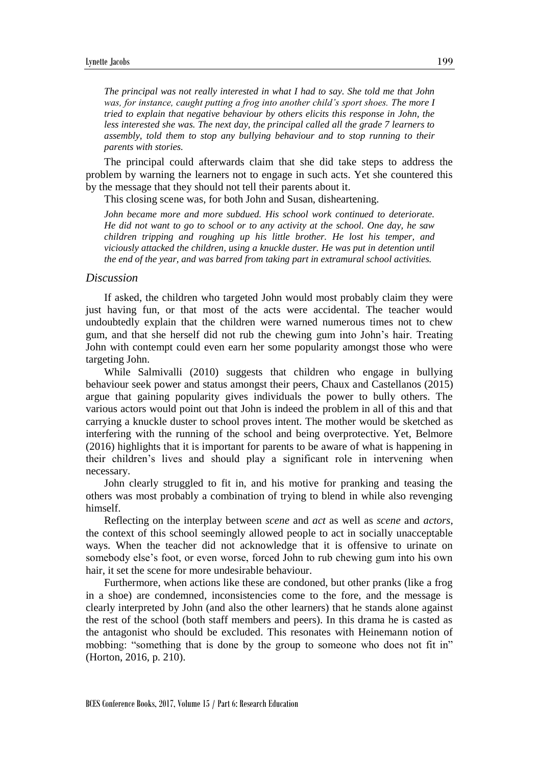*The principal was not really interested in what I had to say. She told me that John was, for instance, caught putting a frog into another child's sport shoes. The more I tried to explain that negative behaviour by others elicits this response in John, the less interested she was. The next day, the principal called all the grade 7 learners to assembly, told them to stop any bullying behaviour and to stop running to their parents with stories.* 

The principal could afterwards claim that she did take steps to address the problem by warning the learners not to engage in such acts. Yet she countered this by the message that they should not tell their parents about it.

This closing scene was, for both John and Susan, disheartening.

*John became more and more subdued. His school work continued to deteriorate. He did not want to go to school or to any activity at the school. One day, he saw children tripping and roughing up his little brother. He lost his temper, and viciously attacked the children, using a knuckle duster. He was put in detention until the end of the year, and was barred from taking part in extramural school activities.*

#### *Discussion*

If asked, the children who targeted John would most probably claim they were just having fun, or that most of the acts were accidental. The teacher would undoubtedly explain that the children were warned numerous times not to chew gum, and that she herself did not rub the chewing gum into John's hair. Treating John with contempt could even earn her some popularity amongst those who were targeting John.

While Salmivalli (2010) suggests that children who engage in bullying behaviour seek power and status amongst their peers, Chaux and Castellanos (2015) argue that gaining popularity gives individuals the power to bully others. The various actors would point out that John is indeed the problem in all of this and that carrying a knuckle duster to school proves intent. The mother would be sketched as interfering with the running of the school and being overprotective. Yet, Belmore (2016) highlights that it is important for parents to be aware of what is happening in their children's lives and should play a significant role in intervening when necessary.

John clearly struggled to fit in, and his motive for pranking and teasing the others was most probably a combination of trying to blend in while also revenging himself.

Reflecting on the interplay between *scene* and *act* as well as *scene* and *actors*, the context of this school seemingly allowed people to act in socially unacceptable ways. When the teacher did not acknowledge that it is offensive to urinate on somebody else's foot, or even worse, forced John to rub chewing gum into his own hair, it set the scene for more undesirable behaviour.

Furthermore, when actions like these are condoned, but other pranks (like a frog in a shoe) are condemned, inconsistencies come to the fore, and the message is clearly interpreted by John (and also the other learners) that he stands alone against the rest of the school (both staff members and peers). In this drama he is casted as the antagonist who should be excluded. This resonates with Heinemann notion of mobbing: "something that is done by the group to someone who does not fit in" (Horton, 2016, p. 210).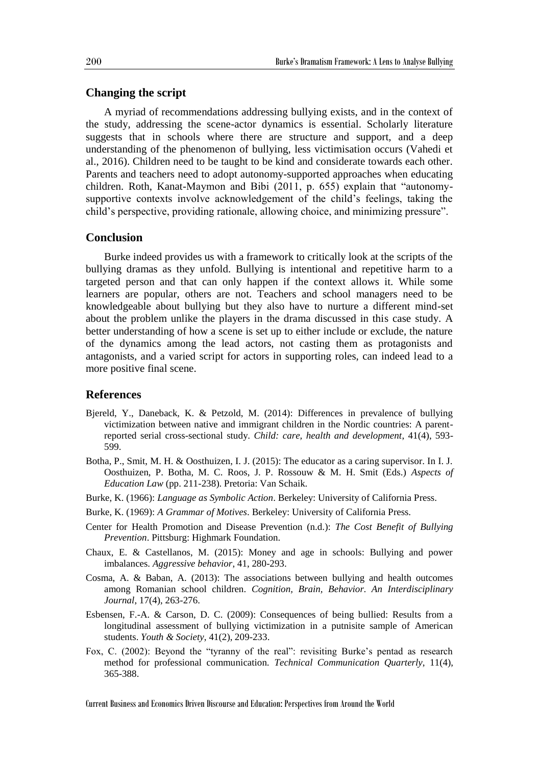## **Changing the script**

A myriad of recommendations addressing bullying exists, and in the context of the study, addressing the scene-actor dynamics is essential. Scholarly literature suggests that in schools where there are structure and support, and a deep understanding of the phenomenon of bullying, less victimisation occurs (Vahedi et al., 2016). Children need to be taught to be kind and considerate towards each other. Parents and teachers need to adopt autonomy-supported approaches when educating children. Roth, Kanat-Maymon and Bibi (2011, p. 655) explain that "autonomysupportive contexts involve acknowledgement of the child's feelings, taking the child's perspective, providing rationale, allowing choice, and minimizing pressure".

#### **Conclusion**

Burke indeed provides us with a framework to critically look at the scripts of the bullying dramas as they unfold. Bullying is intentional and repetitive harm to a targeted person and that can only happen if the context allows it. While some learners are popular, others are not. Teachers and school managers need to be knowledgeable about bullying but they also have to nurture a different mind-set about the problem unlike the players in the drama discussed in this case study. A better understanding of how a scene is set up to either include or exclude, the nature of the dynamics among the lead actors, not casting them as protagonists and antagonists, and a varied script for actors in supporting roles, can indeed lead to a more positive final scene.

#### **References**

- Bjereld, Y., Daneback, K. & Petzold, M. (2014): Differences in prevalence of bullying victimization between native and immigrant children in the Nordic countries: A parentreported serial cross-sectional study. *Child: care, health and development*, 41(4), 593- 599.
- Botha, P., Smit, M. H. & Oosthuizen, I. J. (2015): The educator as a caring supervisor. In I. J. Oosthuizen, P. Botha, M. C. Roos, J. P. Rossouw & M. H. Smit (Eds.) *Aspects of Education Law* (pp. 211-238). Pretoria: Van Schaik.
- Burke, K. (1966): *Language as Symbolic Action*. Berkeley: University of California Press.
- Burke, K. (1969): *A Grammar of Motives*. Berkeley: University of California Press.
- Center for Health Promotion and Disease Prevention (n.d.): *The Cost Benefit of Bullying Prevention*. Pittsburg: Highmark Foundation.
- Chaux, E. & Castellanos, M. (2015): Money and age in schools: Bullying and power imbalances. *Aggressive behavior*, 41, 280-293.
- Cosma, A. & Baban, A. (2013): The associations between bullying and health outcomes among Romanian school children. *Cognition, Brain, Behavior. An Interdisciplinary Journal*, 17(4), 263-276.
- Esbensen, F.-A. & Carson, D. C. (2009): Consequences of being bullied: Results from a longitudinal assessment of bullying victimization in a putnisite sample of American students. *Youth & Society*, 41(2), 209-233.
- Fox, C. (2002): Beyond the "tyranny of the real": revisiting Burke's pentad as research method for professional communication. *Technical Communication Quarterly*, 11(4), 365-388.

Current Business and Economics Driven Discourse and Education: Perspectives from Around the World